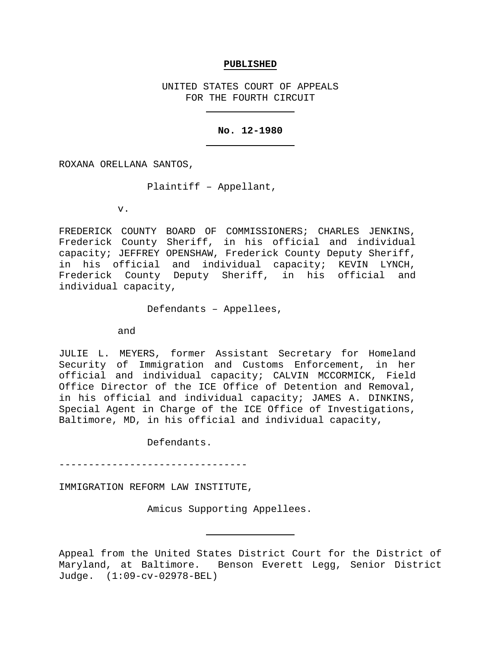#### **PUBLISHED**

UNITED STATES COURT OF APPEALS FOR THE FOURTH CIRCUIT

#### **No. 12-1980**

ROXANA ORELLANA SANTOS,

Plaintiff – Appellant,

v.

FREDERICK COUNTY BOARD OF COMMISSIONERS; CHARLES JENKINS, Frederick County Sheriff, in his official and individual capacity; JEFFREY OPENSHAW, Frederick County Deputy Sheriff, in his official and individual capacity; KEVIN LYNCH, Frederick County Deputy Sheriff, in his official and individual capacity,

Defendants – Appellees,

and

JULIE L. MEYERS, former Assistant Secretary for Homeland Security of Immigration and Customs Enforcement, in her official and individual capacity; CALVIN MCCORMICK, Field Office Director of the ICE Office of Detention and Removal, in his official and individual capacity; JAMES A. DINKINS, Special Agent in Charge of the ICE Office of Investigations, Baltimore, MD, in his official and individual capacity,

Defendants.

--------------------------------

IMMIGRATION REFORM LAW INSTITUTE,

Amicus Supporting Appellees.

Appeal from the United States District Court for the District of Maryland, at Baltimore. Benson Everett Legg, Senior District Judge. (1:09-cv-02978-BEL)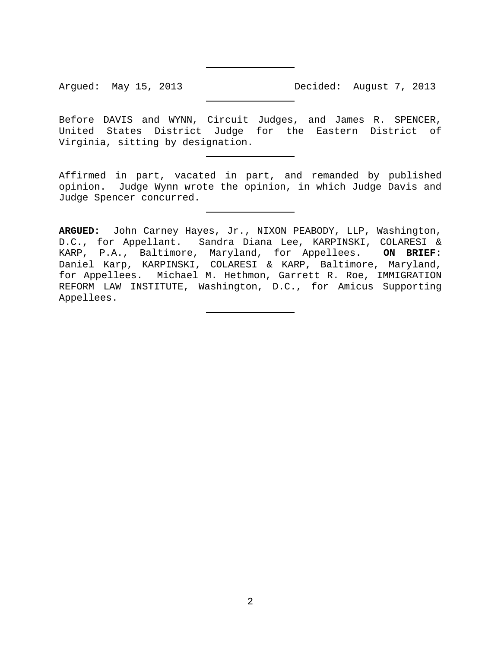Before DAVIS and WYNN, Circuit Judges, and James R. SPENCER, United States District Judge for the Eastern District of Virginia, sitting by designation.

Affirmed in part, vacated in part, and remanded by published opinion. Judge Wynn wrote the opinion, in which Judge Davis and Judge Spencer concurred.

**ARGUED:** John Carney Hayes, Jr., NIXON PEABODY, LLP, Washington, D.C., for Appellant. Sandra Diana Lee, KARPINSKI, COLARESI & KARP, P.A., Baltimore, Maryland, for Appellees. **ON BRIEF:**  Daniel Karp, KARPINSKI, COLARESI & KARP, Baltimore, Maryland, for Appellees. Michael M. Hethmon, Garrett R. Roe, IMMIGRATION REFORM LAW INSTITUTE, Washington, D.C., for Amicus Supporting Appellees.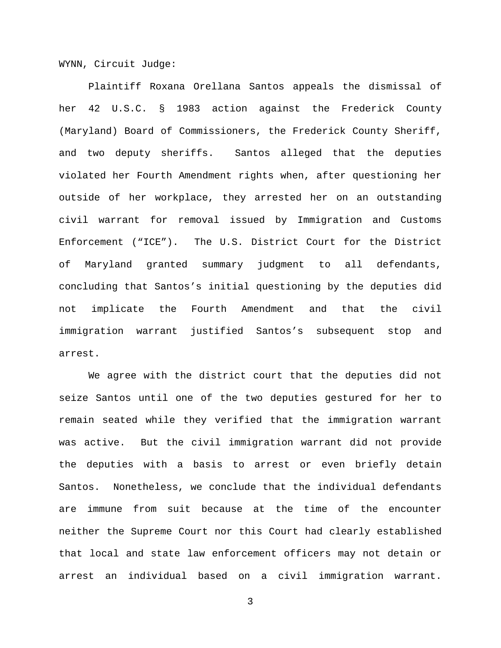WYNN, Circuit Judge:

Plaintiff Roxana Orellana Santos appeals the dismissal of her 42 U.S.C. § 1983 action against the Frederick County (Maryland) Board of Commissioners, the Frederick County Sheriff, and two deputy sheriffs. Santos alleged that the deputies violated her Fourth Amendment rights when, after questioning her outside of her workplace, they arrested her on an outstanding civil warrant for removal issued by Immigration and Customs Enforcement ("ICE"). The U.S. District Court for the District of Maryland granted summary judgment to all defendants, concluding that Santos's initial questioning by the deputies did not implicate the Fourth Amendment and that the civil immigration warrant justified Santos's subsequent stop and arrest.

We agree with the district court that the deputies did not seize Santos until one of the two deputies gestured for her to remain seated while they verified that the immigration warrant was active. But the civil immigration warrant did not provide the deputies with a basis to arrest or even briefly detain Santos. Nonetheless, we conclude that the individual defendants are immune from suit because at the time of the encounter neither the Supreme Court nor this Court had clearly established that local and state law enforcement officers may not detain or arrest an individual based on a civil immigration warrant.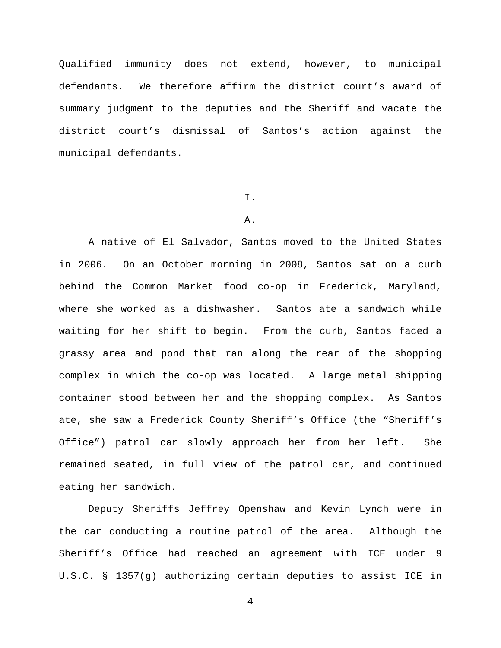Qualified immunity does not extend, however, to municipal defendants. We therefore affirm the district court's award of summary judgment to the deputies and the Sheriff and vacate the district court's dismissal of Santos's action against the municipal defendants.

### I.

# A.

A native of El Salvador, Santos moved to the United States in 2006. On an October morning in 2008, Santos sat on a curb behind the Common Market food co-op in Frederick, Maryland, where she worked as a dishwasher. Santos ate a sandwich while waiting for her shift to begin. From the curb, Santos faced a grassy area and pond that ran along the rear of the shopping complex in which the co-op was located. A large metal shipping container stood between her and the shopping complex. As Santos ate, she saw a Frederick County Sheriff's Office (the "Sheriff's Office") patrol car slowly approach her from her left. She remained seated, in full view of the patrol car, and continued eating her sandwich.

Deputy Sheriffs Jeffrey Openshaw and Kevin Lynch were in the car conducting a routine patrol of the area. Although the Sheriff's Office had reached an agreement with ICE under 9 U.S.C. § 1357(g) authorizing certain deputies to assist ICE in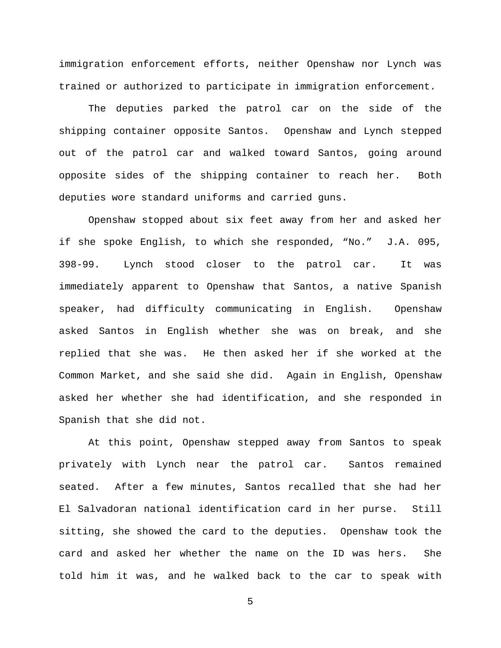immigration enforcement efforts, neither Openshaw nor Lynch was trained or authorized to participate in immigration enforcement.

The deputies parked the patrol car on the side of the shipping container opposite Santos. Openshaw and Lynch stepped out of the patrol car and walked toward Santos, going around opposite sides of the shipping container to reach her. Both deputies wore standard uniforms and carried guns.

Openshaw stopped about six feet away from her and asked her if she spoke English, to which she responded, "No." J.A. 095, 398-99. Lynch stood closer to the patrol car. It was immediately apparent to Openshaw that Santos, a native Spanish speaker, had difficulty communicating in English. Openshaw asked Santos in English whether she was on break, and she replied that she was. He then asked her if she worked at the Common Market, and she said she did. Again in English, Openshaw asked her whether she had identification, and she responded in Spanish that she did not.

At this point, Openshaw stepped away from Santos to speak privately with Lynch near the patrol car. Santos remained seated. After a few minutes, Santos recalled that she had her El Salvadoran national identification card in her purse. Still sitting, she showed the card to the deputies. Openshaw took the card and asked her whether the name on the ID was hers. She told him it was, and he walked back to the car to speak with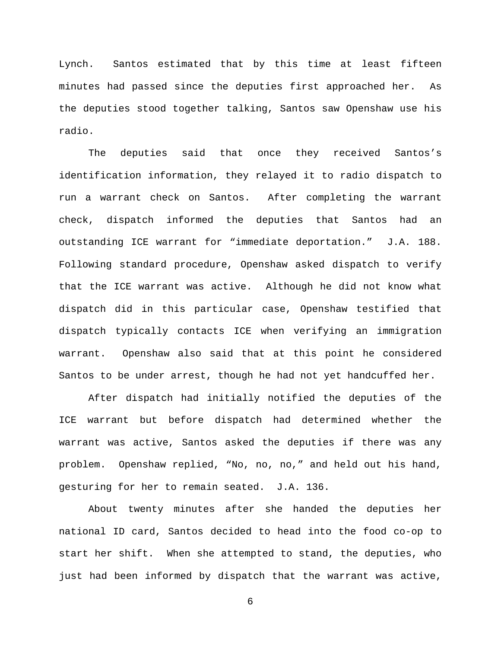Lynch. Santos estimated that by this time at least fifteen minutes had passed since the deputies first approached her. As the deputies stood together talking, Santos saw Openshaw use his radio.

The deputies said that once they received Santos's identification information, they relayed it to radio dispatch to run a warrant check on Santos. After completing the warrant check, dispatch informed the deputies that Santos had an outstanding ICE warrant for "immediate deportation." J.A. 188. Following standard procedure, Openshaw asked dispatch to verify that the ICE warrant was active. Although he did not know what dispatch did in this particular case, Openshaw testified that dispatch typically contacts ICE when verifying an immigration warrant. Openshaw also said that at this point he considered Santos to be under arrest, though he had not yet handcuffed her.

After dispatch had initially notified the deputies of the ICE warrant but before dispatch had determined whether the warrant was active, Santos asked the deputies if there was any problem. Openshaw replied, "No, no, no," and held out his hand, gesturing for her to remain seated. J.A. 136.

About twenty minutes after she handed the deputies her national ID card, Santos decided to head into the food co-op to start her shift. When she attempted to stand, the deputies, who just had been informed by dispatch that the warrant was active,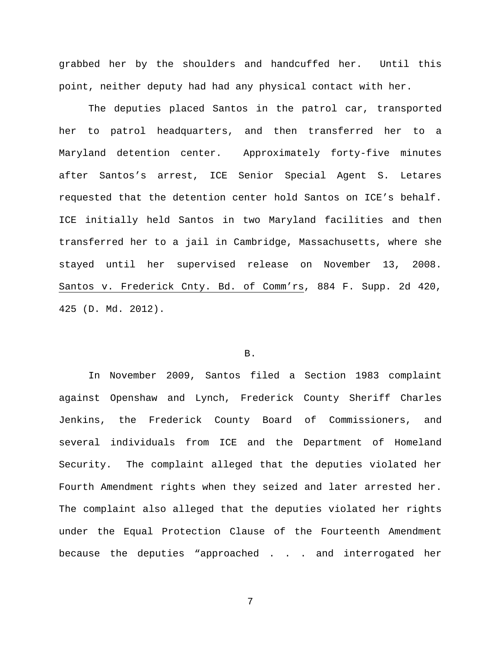grabbed her by the shoulders and handcuffed her. Until this point, neither deputy had had any physical contact with her.

The deputies placed Santos in the patrol car, transported her to patrol headquarters, and then transferred her to a Maryland detention center. Approximately forty-five minutes after Santos's arrest, ICE Senior Special Agent S. Letares requested that the detention center hold Santos on ICE's behalf. ICE initially held Santos in two Maryland facilities and then transferred her to a jail in Cambridge, Massachusetts, where she stayed until her supervised release on November 13, 2008. Santos v. Frederick Cnty. Bd. of Comm'rs, 884 F. Supp. 2d 420, 425 (D. Md. 2012).

# B.

In November 2009, Santos filed a Section 1983 complaint against Openshaw and Lynch, Frederick County Sheriff Charles Jenkins, the Frederick County Board of Commissioners, and several individuals from ICE and the Department of Homeland Security. The complaint alleged that the deputies violated her Fourth Amendment rights when they seized and later arrested her. The complaint also alleged that the deputies violated her rights under the Equal Protection Clause of the Fourteenth Amendment because the deputies "approached . . . and interrogated her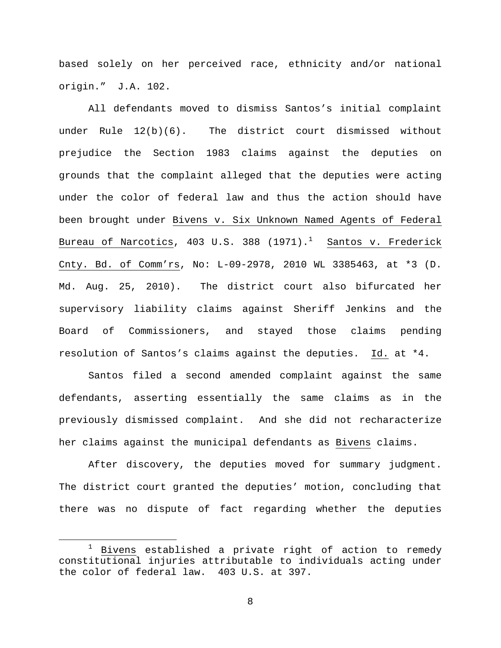based solely on her perceived race, ethnicity and/or national origin." J.A. 102.

All defendants moved to dismiss Santos's initial complaint under Rule 12(b)(6). The district court dismissed without prejudice the Section 1983 claims against the deputies on grounds that the complaint alleged that the deputies were acting under the color of federal law and thus the action should have been brought under Bivens v. Six Unknown Named Agents of Federal Bureau of Narcotics, 403 U.S. 388 (1971).<sup>1</sup> <u>Santos v. Frederick</u> Cnty. Bd. of Comm'rs, No: L-09-2978, 2010 WL 3385463, at \*3 (D. Md. Aug. 25, 2010). The district court also bifurcated her supervisory liability claims against Sheriff Jenkins and the Board of Commissioners, and stayed those claims pending resolution of Santos's claims against the deputies. Id. at \*4.

Santos filed a second amended complaint against the same defendants, asserting essentially the same claims as in the previously dismissed complaint. And she did not recharacterize her claims against the municipal defendants as Bivens claims.

After discovery, the deputies moved for summary judgment. The district court granted the deputies' motion, concluding that there was no dispute of fact regarding whether the deputies

 $1$  Bivens established a private right of action to remedy constitutional injuries attributable to individuals acting under the color of federal law. 403 U.S. at 397.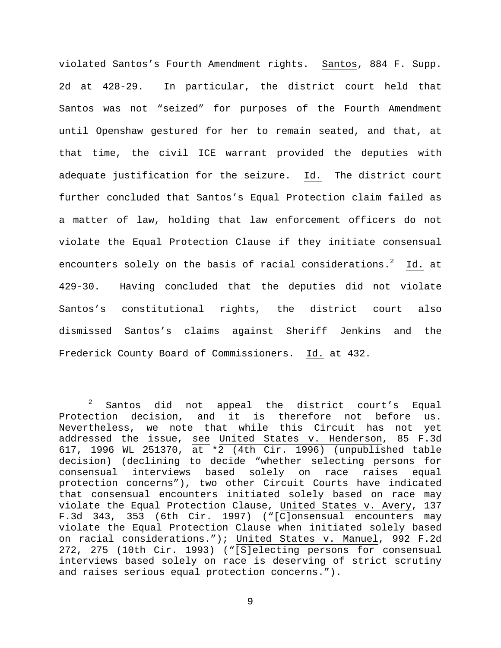violated Santos's Fourth Amendment rights. Santos, 884 F. Supp. 2d at 428-29. In particular, the district court held that Santos was not "seized" for purposes of the Fourth Amendment until Openshaw gestured for her to remain seated, and that, at that time, the civil ICE warrant provided the deputies with adequate justification for the seizure. Id. The district court further concluded that Santos's Equal Protection claim failed as a matter of law, holding that law enforcement officers do not violate the Equal Protection Clause if they initiate consensual encounters solely on the basis of racial considerations.<sup>2</sup> Id. at 429-30. Having concluded that the deputies did not violate Santos's constitutional rights, the district court also dismissed Santos's claims against Sheriff Jenkins and the Frederick County Board of Commissioners. Id. at 432.

 <sup>2</sup> Santos did not appeal the district court's Equal Protection decision, and it is therefore not before us. Nevertheless, we note that while this Circuit has not yet addressed the issue, see United States v. Henderson, 85 F.3d 617, 1996 WL 251370, at \*2 (4th Cir. 1996) (unpublished table decision) (declining to decide "whether selecting persons for<br>consensual interviews based solely on race raises equal consensual interviews based solely on race raises protection concerns"), two other Circuit Courts have indicated that consensual encounters initiated solely based on race may violate the Equal Protection Clause, United States v. Avery, 137 F.3d 343, 353 (6th Cir. 1997) ("[C]onsensual encounters may violate the Equal Protection Clause when initiated solely based on racial considerations."); United States v. Manuel, 992 F.2d 272, 275 (10th Cir. 1993) ("[S]electing persons for consensual interviews based solely on race is deserving of strict scrutiny and raises serious equal protection concerns.").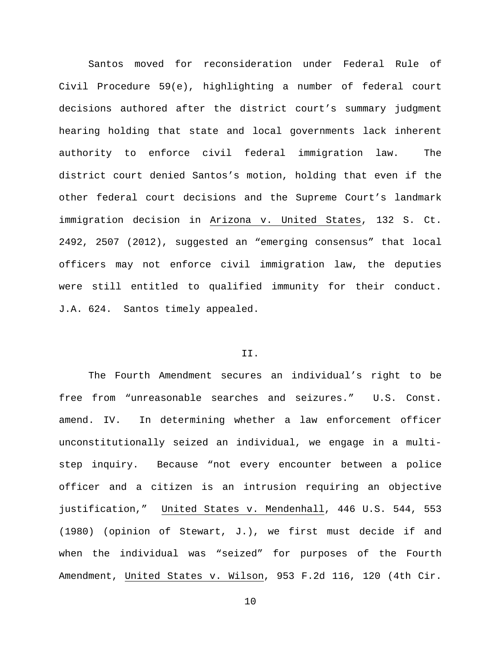Santos moved for reconsideration under Federal Rule of Civil Procedure 59(e), highlighting a number of federal court decisions authored after the district court's summary judgment hearing holding that state and local governments lack inherent authority to enforce civil federal immigration law. The district court denied Santos's motion, holding that even if the other federal court decisions and the Supreme Court's landmark immigration decision in Arizona v. United States, 132 S. Ct. 2492, 2507 (2012), suggested an "emerging consensus" that local officers may not enforce civil immigration law, the deputies were still entitled to qualified immunity for their conduct. J.A. 624. Santos timely appealed.

#### II.

The Fourth Amendment secures an individual's right to be free from "unreasonable searches and seizures." U.S. Const. amend. IV. In determining whether a law enforcement officer unconstitutionally seized an individual, we engage in a multistep inquiry. Because "not every encounter between a police officer and a citizen is an intrusion requiring an objective justification," United States v. Mendenhall, 446 U.S. 544, 553 (1980) (opinion of Stewart, J.), we first must decide if and when the individual was "seized" for purposes of the Fourth Amendment, United States v. Wilson, 953 F.2d 116, 120 (4th Cir.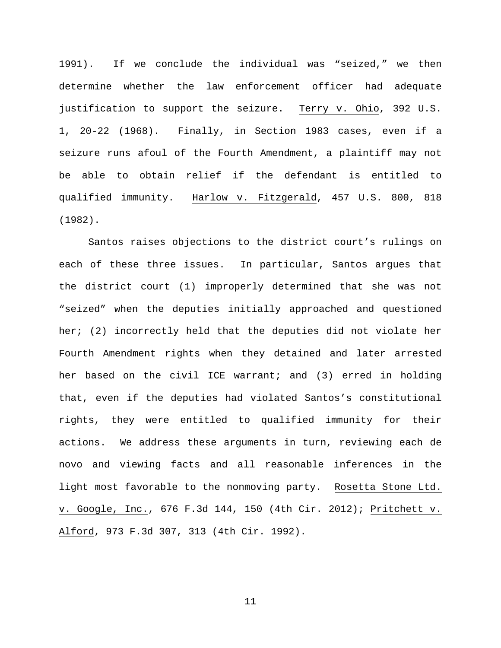1991). If we conclude the individual was "seized," we then determine whether the law enforcement officer had adequate justification to support the seizure. Terry v. Ohio, 392 U.S. 1, 20-22 (1968). Finally, in Section 1983 cases, even if a seizure runs afoul of the Fourth Amendment, a plaintiff may not be able to obtain relief if the defendant is entitled to qualified immunity. Harlow v. Fitzgerald, 457 U.S. 800, 818 (1982).

Santos raises objections to the district court's rulings on each of these three issues. In particular, Santos argues that the district court (1) improperly determined that she was not "seized" when the deputies initially approached and questioned her; (2) incorrectly held that the deputies did not violate her Fourth Amendment rights when they detained and later arrested her based on the civil ICE warrant; and (3) erred in holding that, even if the deputies had violated Santos's constitutional rights, they were entitled to qualified immunity for their actions. We address these arguments in turn, reviewing each de novo and viewing facts and all reasonable inferences in the light most favorable to the nonmoving party. Rosetta Stone Ltd. v. Google, Inc., 676 F.3d 144, 150 (4th Cir. 2012); Pritchett v. Alford, 973 F.3d 307, 313 (4th Cir. 1992).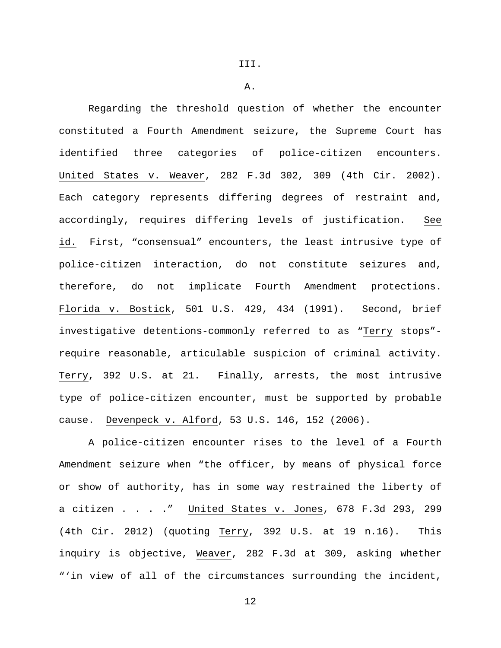III.

A.

Regarding the threshold question of whether the encounter constituted a Fourth Amendment seizure, the Supreme Court has identified three categories of police-citizen encounters. United States v. Weaver, 282 F.3d 302, 309 (4th Cir. 2002). Each category represents differing degrees of restraint and, accordingly, requires differing levels of justification. See id. First, "consensual" encounters, the least intrusive type of police-citizen interaction, do not constitute seizures and, therefore, do not implicate Fourth Amendment protections. Florida v. Bostick, 501 U.S. 429, 434 (1991). Second, brief investigative detentions-commonly referred to as "Terry stops" require reasonable, articulable suspicion of criminal activity. Terry, 392 U.S. at 21. Finally, arrests, the most intrusive type of police-citizen encounter, must be supported by probable cause. Devenpeck v. Alford, 53 U.S. 146, 152 (2006).

A police-citizen encounter rises to the level of a Fourth Amendment seizure when "the officer, by means of physical force or show of authority, has in some way restrained the liberty of a citizen . . . ." United States v. Jones, 678 F.3d 293, 299 (4th Cir. 2012) (quoting Terry, 392 U.S. at 19 n.16). This inquiry is objective, Weaver, 282 F.3d at 309, asking whether "'in view of all of the circumstances surrounding the incident,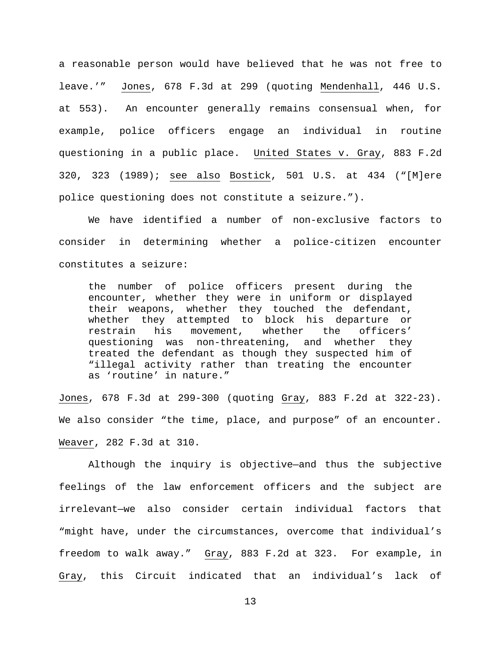a reasonable person would have believed that he was not free to leave.'" Jones, 678 F.3d at 299 (quoting Mendenhall, 446 U.S. at 553). An encounter generally remains consensual when, for example, police officers engage an individual in routine questioning in a public place. United States v. Gray, 883 F.2d 320, 323 (1989); see also Bostick, 501 U.S. at 434 ("[M]ere police questioning does not constitute a seizure.").

We have identified a number of non-exclusive factors to consider in determining whether a police-citizen encounter constitutes a seizure:

the number of police officers present during the encounter, whether they were in uniform or displayed their weapons, whether they touched the defendant, whether they attempted to block his departure or restrain his movement, whether the officers' questioning was non-threatening, and whether they treated the defendant as though they suspected him of "illegal activity rather than treating the encounter as 'routine' in nature."

Jones, 678 F.3d at 299-300 (quoting Gray, 883 F.2d at 322-23). We also consider "the time, place, and purpose" of an encounter. Weaver, 282 F.3d at 310.

Although the inquiry is objective—and thus the subjective feelings of the law enforcement officers and the subject are irrelevant—we also consider certain individual factors that "might have, under the circumstances, overcome that individual's freedom to walk away." Gray, 883 F.2d at 323. For example, in Gray, this Circuit indicated that an individual's lack of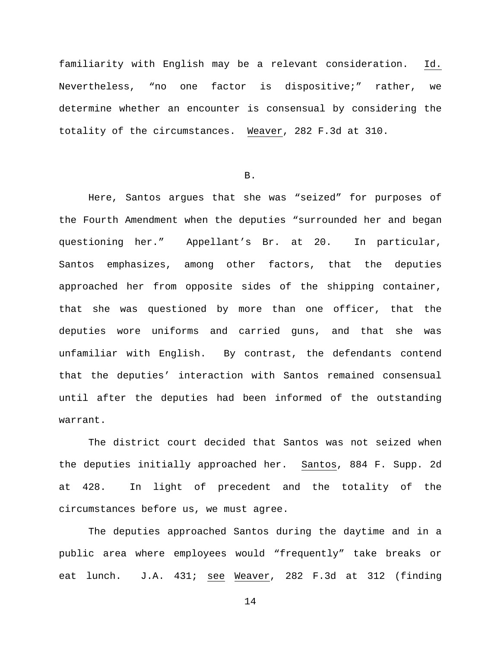familiarity with English may be a relevant consideration. Id. Nevertheless, "no one factor is dispositive;" rather, we determine whether an encounter is consensual by considering the totality of the circumstances. Weaver, 282 F.3d at 310.

#### B.

Here, Santos argues that she was "seized" for purposes of the Fourth Amendment when the deputies "surrounded her and began questioning her." Appellant's Br. at 20. In particular, Santos emphasizes, among other factors, that the deputies approached her from opposite sides of the shipping container, that she was questioned by more than one officer, that the deputies wore uniforms and carried guns, and that she was unfamiliar with English. By contrast, the defendants contend that the deputies' interaction with Santos remained consensual until after the deputies had been informed of the outstanding warrant.

The district court decided that Santos was not seized when the deputies initially approached her. Santos, 884 F. Supp. 2d at 428. In light of precedent and the totality of the circumstances before us, we must agree.

The deputies approached Santos during the daytime and in a public area where employees would "frequently" take breaks or eat lunch. J.A. 431; see Weaver, 282 F.3d at 312 (finding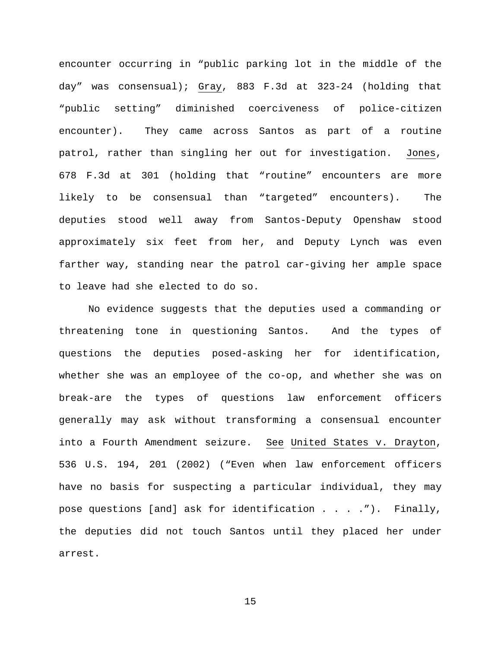encounter occurring in "public parking lot in the middle of the day" was consensual); Gray, 883 F.3d at 323-24 (holding that "public setting" diminished coerciveness of police-citizen encounter). They came across Santos as part of a routine patrol, rather than singling her out for investigation. Jones, 678 F.3d at 301 (holding that "routine" encounters are more likely to be consensual than "targeted" encounters). The deputies stood well away from Santos-Deputy Openshaw stood approximately six feet from her, and Deputy Lynch was even farther way, standing near the patrol car-giving her ample space to leave had she elected to do so.

No evidence suggests that the deputies used a commanding or threatening tone in questioning Santos. And the types of questions the deputies posed-asking her for identification, whether she was an employee of the co-op, and whether she was on break-are the types of questions law enforcement officers generally may ask without transforming a consensual encounter into a Fourth Amendment seizure. See United States v. Drayton, 536 U.S. 194, 201 (2002) ("Even when law enforcement officers have no basis for suspecting a particular individual, they may pose questions [and] ask for identification . . . ."). Finally, the deputies did not touch Santos until they placed her under arrest.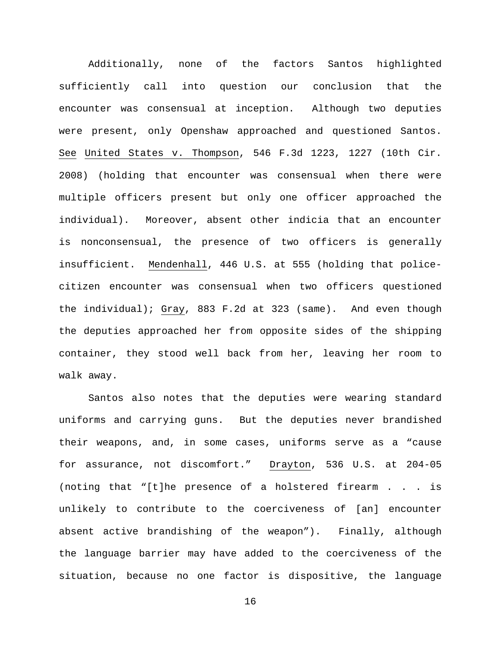Additionally, none of the factors Santos highlighted sufficiently call into question our conclusion that the encounter was consensual at inception. Although two deputies were present, only Openshaw approached and questioned Santos. See United States v. Thompson, 546 F.3d 1223, 1227 (10th Cir. 2008) (holding that encounter was consensual when there were multiple officers present but only one officer approached the individual). Moreover, absent other indicia that an encounter is nonconsensual, the presence of two officers is generally insufficient. Mendenhall, 446 U.S. at 555 (holding that policecitizen encounter was consensual when two officers questioned the individual); Gray, 883 F.2d at 323 (same). And even though the deputies approached her from opposite sides of the shipping container, they stood well back from her, leaving her room to walk away.

Santos also notes that the deputies were wearing standard uniforms and carrying guns. But the deputies never brandished their weapons, and, in some cases, uniforms serve as a "cause for assurance, not discomfort." Drayton, 536 U.S. at 204-05 (noting that "[t]he presence of a holstered firearm . . . is unlikely to contribute to the coerciveness of [an] encounter absent active brandishing of the weapon"). Finally, although the language barrier may have added to the coerciveness of the situation, because no one factor is dispositive, the language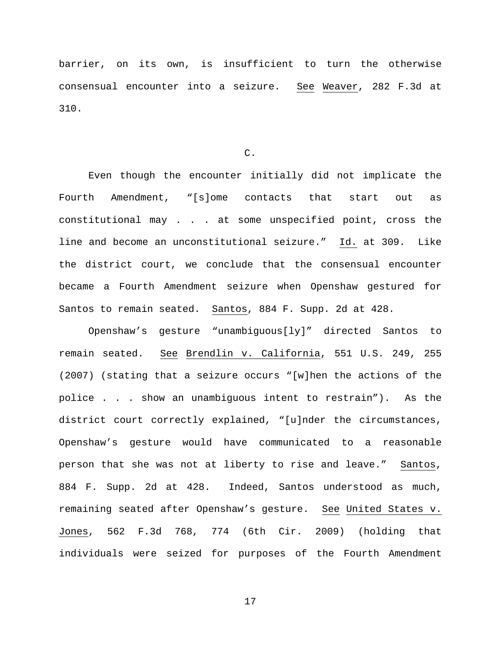barrier, on its own, is insufficient to turn the otherwise consensual encounter into a seizure. See Weaver, 282 F.3d at 310.

#### C.

Even though the encounter initially did not implicate the Fourth Amendment, "[s]ome contacts that start out as constitutional may . . . at some unspecified point, cross the line and become an unconstitutional seizure." Id. at 309. Like the district court, we conclude that the consensual encounter became a Fourth Amendment seizure when Openshaw gestured for Santos to remain seated. Santos, 884 F. Supp. 2d at 428.

Openshaw's gesture "unambiguous[ly]" directed Santos to remain seated. See Brendlin v. California, 551 U.S. 249, 255 (2007) (stating that a seizure occurs "[w]hen the actions of the police . . . show an unambiguous intent to restrain"). As the district court correctly explained, "[u]nder the circumstances, Openshaw's gesture would have communicated to a reasonable person that she was not at liberty to rise and leave." Santos, 884 F. Supp. 2d at 428. Indeed, Santos understood as much, remaining seated after Openshaw's gesture. See United States v. Jones, 562 F.3d 768, 774 (6th Cir. 2009) (holding that individuals were seized for purposes of the Fourth Amendment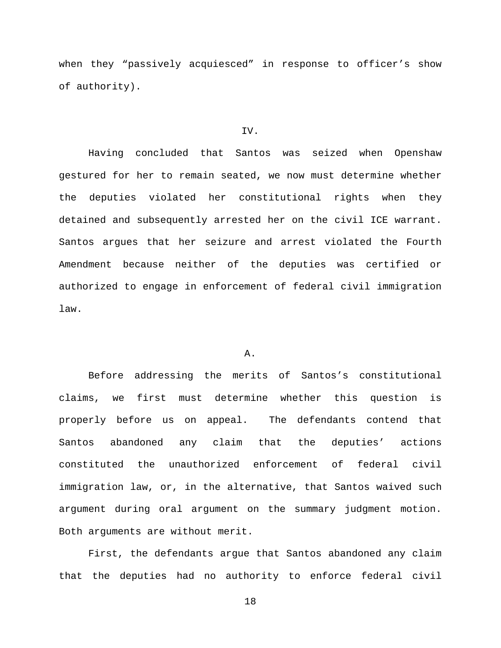when they "passively acquiesced" in response to officer's show of authority).

#### IV.

Having concluded that Santos was seized when Openshaw gestured for her to remain seated, we now must determine whether the deputies violated her constitutional rights when they detained and subsequently arrested her on the civil ICE warrant. Santos argues that her seizure and arrest violated the Fourth Amendment because neither of the deputies was certified or authorized to engage in enforcement of federal civil immigration law.

# A.

Before addressing the merits of Santos's constitutional claims, we first must determine whether this question is properly before us on appeal. The defendants contend that Santos abandoned any claim that the deputies' actions constituted the unauthorized enforcement of federal civil immigration law, or, in the alternative, that Santos waived such argument during oral argument on the summary judgment motion. Both arguments are without merit.

First, the defendants argue that Santos abandoned any claim that the deputies had no authority to enforce federal civil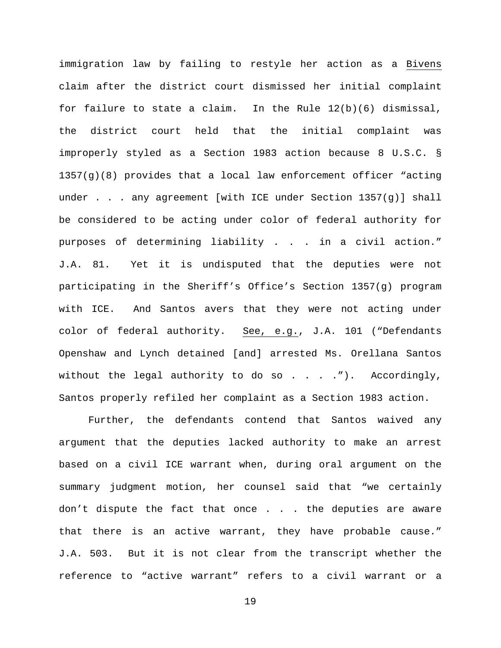immigration law by failing to restyle her action as a Bivens claim after the district court dismissed her initial complaint for failure to state a claim. In the Rule  $12(b)(6)$  dismissal, the district court held that the initial complaint was improperly styled as a Section 1983 action because 8 U.S.C. § 1357(g)(8) provides that a local law enforcement officer "acting under . . . any agreement [with ICE under Section 1357(g)] shall be considered to be acting under color of federal authority for purposes of determining liability . . . in a civil action." J.A. 81. Yet it is undisputed that the deputies were not participating in the Sheriff's Office's Section 1357(g) program with ICE. And Santos avers that they were not acting under color of federal authority. See, e.g., J.A. 101 ("Defendants Openshaw and Lynch detained [and] arrested Ms. Orellana Santos without the legal authority to do so  $\ldots$  . . . . . Accordingly, Santos properly refiled her complaint as a Section 1983 action.

Further, the defendants contend that Santos waived any argument that the deputies lacked authority to make an arrest based on a civil ICE warrant when, during oral argument on the summary judgment motion, her counsel said that "we certainly don't dispute the fact that once . . . the deputies are aware that there is an active warrant, they have probable cause." J.A. 503. But it is not clear from the transcript whether the reference to "active warrant" refers to a civil warrant or a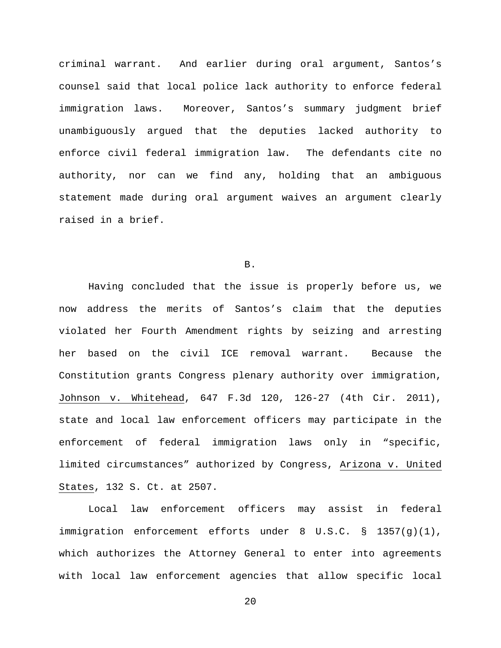criminal warrant. And earlier during oral argument, Santos's counsel said that local police lack authority to enforce federal immigration laws. Moreover, Santos's summary judgment brief unambiguously argued that the deputies lacked authority to enforce civil federal immigration law. The defendants cite no authority, nor can we find any, holding that an ambiguous statement made during oral argument waives an argument clearly raised in a brief.

B.

Having concluded that the issue is properly before us, we now address the merits of Santos's claim that the deputies violated her Fourth Amendment rights by seizing and arresting her based on the civil ICE removal warrant. Because the Constitution grants Congress plenary authority over immigration, Johnson v. Whitehead, 647 F.3d 120, 126-27 (4th Cir. 2011), state and local law enforcement officers may participate in the enforcement of federal immigration laws only in "specific, limited circumstances" authorized by Congress, Arizona v. United States, 132 S. Ct. at 2507.

Local law enforcement officers may assist in federal immigration enforcement efforts under 8 U.S.C. § 1357(g)(1), which authorizes the Attorney General to enter into agreements with local law enforcement agencies that allow specific local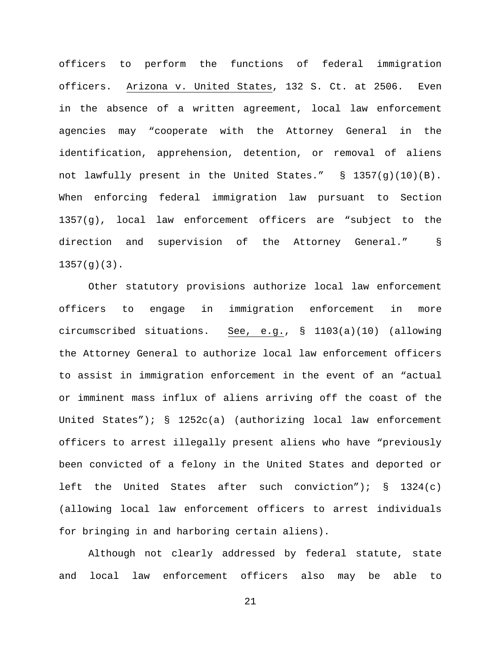officers to perform the functions of federal immigration officers. Arizona v. United States, 132 S. Ct. at 2506. Even in the absence of a written agreement, local law enforcement agencies may "cooperate with the Attorney General in the identification, apprehension, detention, or removal of aliens not lawfully present in the United States." § 1357(g)(10)(B). When enforcing federal immigration law pursuant to Section 1357(g), local law enforcement officers are "subject to the direction and supervision of the Attorney General." § 1357(g)(3).

Other statutory provisions authorize local law enforcement officers to engage in immigration enforcement in more circumscribed situations. See, e.g., § 1103(a)(10) (allowing the Attorney General to authorize local law enforcement officers to assist in immigration enforcement in the event of an "actual or imminent mass influx of aliens arriving off the coast of the United States");  $\S$  1252c(a) (authorizing local law enforcement officers to arrest illegally present aliens who have "previously been convicted of a felony in the United States and deported or left the United States after such conviction");  $\S$  1324(c) (allowing local law enforcement officers to arrest individuals for bringing in and harboring certain aliens).

Although not clearly addressed by federal statute, state and local law enforcement officers also may be able to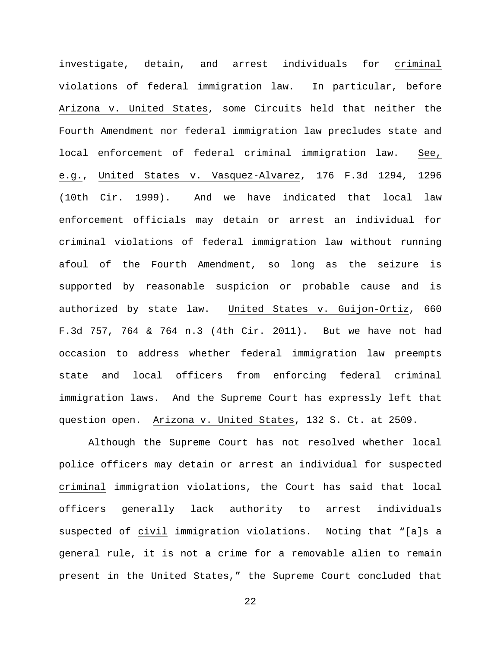investigate, detain, and arrest individuals for criminal violations of federal immigration law. In particular, before Arizona v. United States, some Circuits held that neither the Fourth Amendment nor federal immigration law precludes state and local enforcement of federal criminal immigration law. See, e.g., United States v. Vasquez-Alvarez, 176 F.3d 1294, 1296 (10th Cir. 1999). And we have indicated that local law enforcement officials may detain or arrest an individual for criminal violations of federal immigration law without running afoul of the Fourth Amendment, so long as the seizure is supported by reasonable suspicion or probable cause and is authorized by state law. United States v. Guijon-Ortiz, 660 F.3d 757, 764 & 764 n.3 (4th Cir. 2011). But we have not had occasion to address whether federal immigration law preempts state and local officers from enforcing federal criminal immigration laws. And the Supreme Court has expressly left that question open. Arizona v. United States, 132 S. Ct. at 2509.

Although the Supreme Court has not resolved whether local police officers may detain or arrest an individual for suspected criminal immigration violations, the Court has said that local officers generally lack authority to arrest individuals suspected of civil immigration violations. Noting that "[a]s a general rule, it is not a crime for a removable alien to remain present in the United States," the Supreme Court concluded that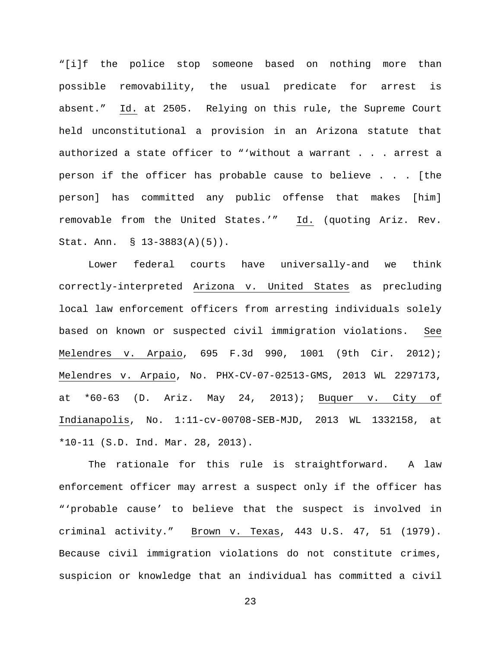"[i]f the police stop someone based on nothing more than possible removability, the usual predicate for arrest is absent." Id. at 2505. Relying on this rule, the Supreme Court held unconstitutional a provision in an Arizona statute that authorized a state officer to "'without a warrant . . . arrest a person if the officer has probable cause to believe . . . [the person] has committed any public offense that makes [him] removable from the United States.'" Id. (quoting Ariz. Rev. Stat. Ann. § 13-3883(A)(5)).

Lower federal courts have universally-and we think correctly-interpreted Arizona v. United States as precluding local law enforcement officers from arresting individuals solely based on known or suspected civil immigration violations. See Melendres v. Arpaio, 695 F.3d 990, 1001 (9th Cir. 2012); Melendres v. Arpaio, No. PHX-CV-07-02513-GMS, 2013 WL 2297173, at \*60-63 (D. Ariz. May 24, 2013); Buquer v. City of Indianapolis, No. 1:11-cv-00708-SEB-MJD, 2013 WL 1332158, at \*10-11 (S.D. Ind. Mar. 28, 2013).

The rationale for this rule is straightforward. A law enforcement officer may arrest a suspect only if the officer has "'probable cause' to believe that the suspect is involved in criminal activity." Brown v. Texas, 443 U.S. 47, 51 (1979). Because civil immigration violations do not constitute crimes, suspicion or knowledge that an individual has committed a civil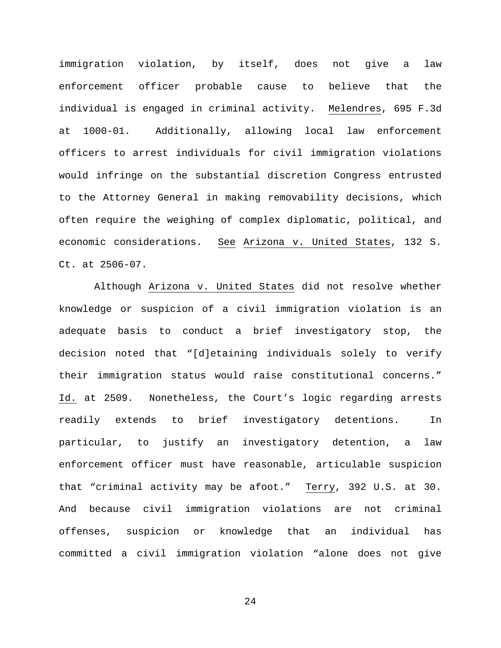immigration violation, by itself, does not give a law enforcement officer probable cause to believe that the individual is engaged in criminal activity. Melendres, 695 F.3d at 1000-01. Additionally, allowing local law enforcement officers to arrest individuals for civil immigration violations would infringe on the substantial discretion Congress entrusted to the Attorney General in making removability decisions, which often require the weighing of complex diplomatic, political, and economic considerations. See Arizona v. United States, 132 S. Ct. at 2506-07.

Although Arizona v. United States did not resolve whether knowledge or suspicion of a civil immigration violation is an adequate basis to conduct a brief investigatory stop, the decision noted that "[d]etaining individuals solely to verify their immigration status would raise constitutional concerns." Id. at 2509. Nonetheless, the Court's logic regarding arrests readily extends to brief investigatory detentions. In particular, to justify an investigatory detention, a law enforcement officer must have reasonable, articulable suspicion that "criminal activity may be afoot." Terry, 392 U.S. at 30. And because civil immigration violations are not criminal offenses, suspicion or knowledge that an individual has committed a civil immigration violation "alone does not give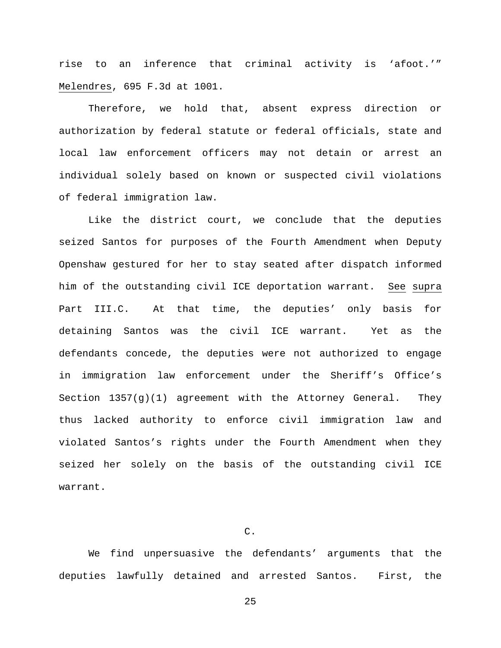rise to an inference that criminal activity is 'afoot.'" Melendres, 695 F.3d at 1001.

Therefore, we hold that, absent express direction or authorization by federal statute or federal officials, state and local law enforcement officers may not detain or arrest an individual solely based on known or suspected civil violations of federal immigration law.

Like the district court, we conclude that the deputies seized Santos for purposes of the Fourth Amendment when Deputy Openshaw gestured for her to stay seated after dispatch informed him of the outstanding civil ICE deportation warrant. See supra Part III.C. At that time, the deputies' only basis for detaining Santos was the civil ICE warrant. Yet as the defendants concede, the deputies were not authorized to engage in immigration law enforcement under the Sheriff's Office's Section  $1357(q)(1)$  agreement with the Attorney General. They thus lacked authority to enforce civil immigration law and violated Santos's rights under the Fourth Amendment when they seized her solely on the basis of the outstanding civil ICE warrant.

# C.

We find unpersuasive the defendants' arguments that the deputies lawfully detained and arrested Santos. First, the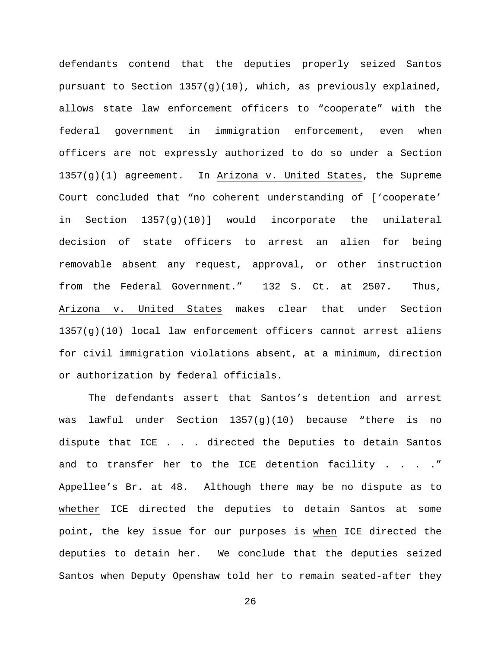defendants contend that the deputies properly seized Santos pursuant to Section 1357(g)(10), which, as previously explained, allows state law enforcement officers to "cooperate" with the federal government in immigration enforcement, even when officers are not expressly authorized to do so under a Section 1357(g)(1) agreement. In Arizona v. United States, the Supreme Court concluded that "no coherent understanding of ['cooperate' in Section 1357(g)(10)] would incorporate the unilateral decision of state officers to arrest an alien for being removable absent any request, approval, or other instruction from the Federal Government." 132 S. Ct. at 2507. Thus, Arizona v. United States makes clear that under Section  $1357(q)(10)$  local law enforcement officers cannot arrest aliens for civil immigration violations absent, at a minimum, direction or authorization by federal officials.

The defendants assert that Santos's detention and arrest was lawful under Section  $1357(q)(10)$  because "there is no dispute that ICE . . . directed the Deputies to detain Santos and to transfer her to the ICE detention facility . . . ." Appellee's Br. at 48. Although there may be no dispute as to whether ICE directed the deputies to detain Santos at some point, the key issue for our purposes is when ICE directed the deputies to detain her. We conclude that the deputies seized Santos when Deputy Openshaw told her to remain seated-after they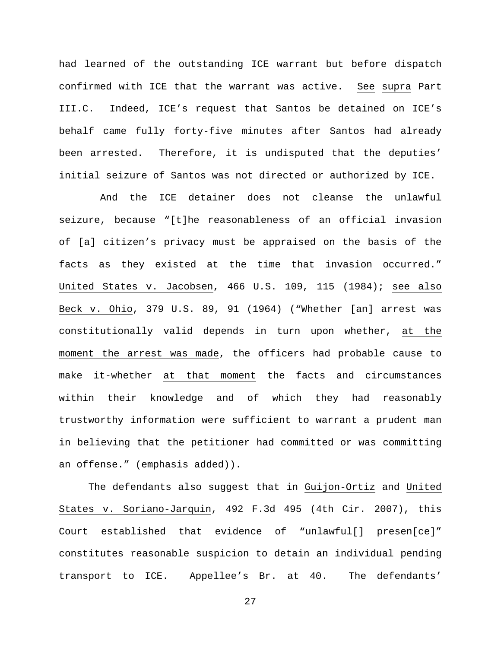had learned of the outstanding ICE warrant but before dispatch confirmed with ICE that the warrant was active. See supra Part III.C. Indeed, ICE's request that Santos be detained on ICE's behalf came fully forty-five minutes after Santos had already been arrested. Therefore, it is undisputed that the deputies' initial seizure of Santos was not directed or authorized by ICE.

 And the ICE detainer does not cleanse the unlawful seizure, because "[t]he reasonableness of an official invasion of [a] citizen's privacy must be appraised on the basis of the facts as they existed at the time that invasion occurred." United States v. Jacobsen, 466 U.S. 109, 115 (1984); see also Beck v. Ohio, 379 U.S. 89, 91 (1964) ("Whether [an] arrest was constitutionally valid depends in turn upon whether, at the moment the arrest was made, the officers had probable cause to make it-whether at that moment the facts and circumstances within their knowledge and of which they had reasonably trustworthy information were sufficient to warrant a prudent man in believing that the petitioner had committed or was committing an offense." (emphasis added)).

The defendants also suggest that in Guijon-Ortiz and United States v. Soriano-Jarquin, 492 F.3d 495 (4th Cir. 2007), this Court established that evidence of "unlawful[] presen[ce]" constitutes reasonable suspicion to detain an individual pending transport to ICE. Appellee's Br. at 40. The defendants'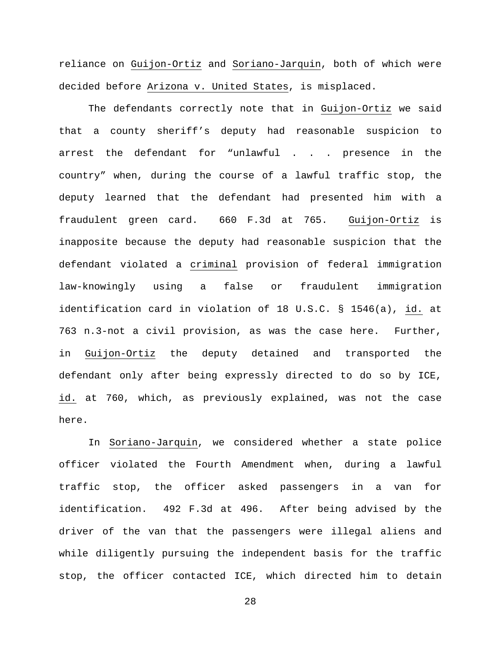reliance on Guijon-Ortiz and Soriano-Jarquin, both of which were decided before Arizona v. United States, is misplaced.

The defendants correctly note that in Guijon-Ortiz we said that a county sheriff's deputy had reasonable suspicion to arrest the defendant for "unlawful . . . presence in the country" when, during the course of a lawful traffic stop, the deputy learned that the defendant had presented him with a fraudulent green card. 660 F.3d at 765. Guijon-Ortiz is inapposite because the deputy had reasonable suspicion that the defendant violated a criminal provision of federal immigration law-knowingly using a false or fraudulent immigration identification card in violation of 18 U.S.C. § 1546(a), id. at 763 n.3-not a civil provision, as was the case here. Further, in Guijon-Ortiz the deputy detained and transported the defendant only after being expressly directed to do so by ICE, id. at 760, which, as previously explained, was not the case here.

In Soriano-Jarquin, we considered whether a state police officer violated the Fourth Amendment when, during a lawful traffic stop, the officer asked passengers in a van for identification. 492 F.3d at 496. After being advised by the driver of the van that the passengers were illegal aliens and while diligently pursuing the independent basis for the traffic stop, the officer contacted ICE, which directed him to detain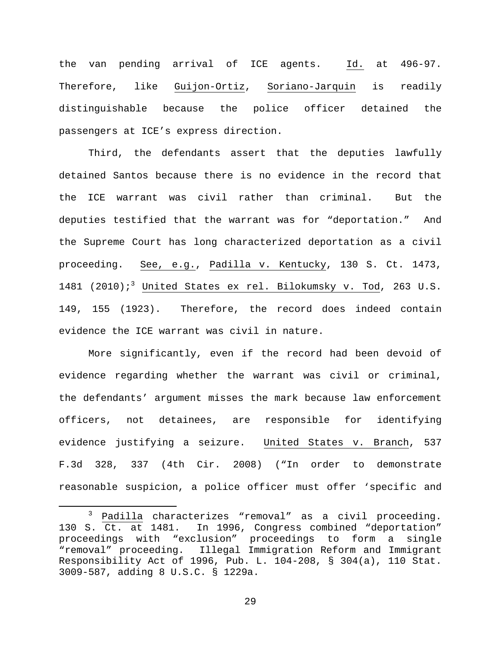the van pending arrival of ICE agents. Id. at 496-97. Therefore, like Guijon-Ortiz, Soriano-Jarquin is readily distinguishable because the police officer detained the passengers at ICE's express direction.

Third, the defendants assert that the deputies lawfully detained Santos because there is no evidence in the record that the ICE warrant was civil rather than criminal. But the deputies testified that the warrant was for "deportation." And the Supreme Court has long characterized deportation as a civil proceeding. See, e.g., Padilla v. Kentucky, 130 S. Ct. 1473, 1481 (2010);<sup>3</sup> United States ex rel. Bilokumsky v. Tod, 263 U.S. 149, 155 (1923). Therefore, the record does indeed contain evidence the ICE warrant was civil in nature.

More significantly, even if the record had been devoid of evidence regarding whether the warrant was civil or criminal, the defendants' argument misses the mark because law enforcement officers, not detainees, are responsible for identifying evidence justifying a seizure. United States v. Branch, 537 F.3d 328, 337 (4th Cir. 2008) ("In order to demonstrate reasonable suspicion, a police officer must offer 'specific and

 $\frac{3}{5}$  Padilla characterizes "removal" as a civil proceeding.<br>130 S. Ct. at 1481. In 1996, Congress combined "deportation" In 1996, Congress combined "deportation" proceedings with "exclusion" proceedings to form a single "removal" proceeding. Illegal Immigration Reform and Immigrant Responsibility Act of 1996, Pub. L. 104-208, § 304(a), 110 Stat. 3009-587, adding 8 U.S.C. § 1229a.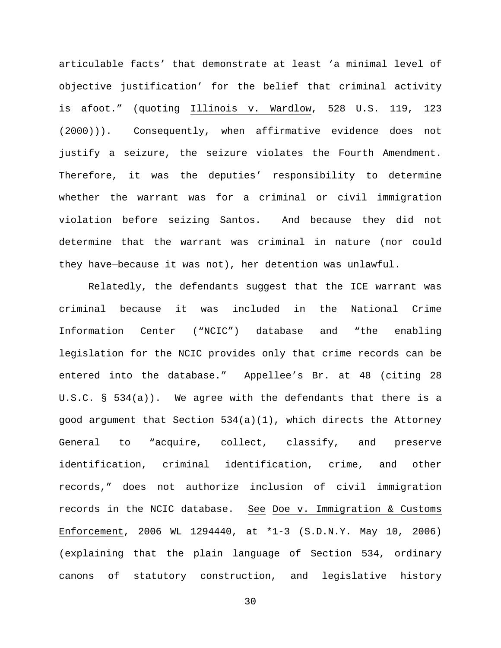articulable facts' that demonstrate at least 'a minimal level of objective justification' for the belief that criminal activity is afoot." (quoting Illinois v. Wardlow, 528 U.S. 119, 123 (2000))). Consequently, when affirmative evidence does not justify a seizure, the seizure violates the Fourth Amendment. Therefore, it was the deputies' responsibility to determine whether the warrant was for a criminal or civil immigration violation before seizing Santos. And because they did not determine that the warrant was criminal in nature (nor could they have—because it was not), her detention was unlawful.

Relatedly, the defendants suggest that the ICE warrant was criminal because it was included in the National Crime Information Center ("NCIC") database and "the enabling legislation for the NCIC provides only that crime records can be entered into the database." Appellee's Br. at 48 (citing 28 U.S.C. § 534(a)). We agree with the defendants that there is a good argument that Section 534(a)(1), which directs the Attorney General to "acquire, collect, classify, and preserve identification, criminal identification, crime, and other records," does not authorize inclusion of civil immigration records in the NCIC database. See Doe v. Immigration & Customs Enforcement, 2006 WL 1294440, at \*1-3 (S.D.N.Y. May 10, 2006) (explaining that the plain language of Section 534, ordinary canons of statutory construction, and legislative history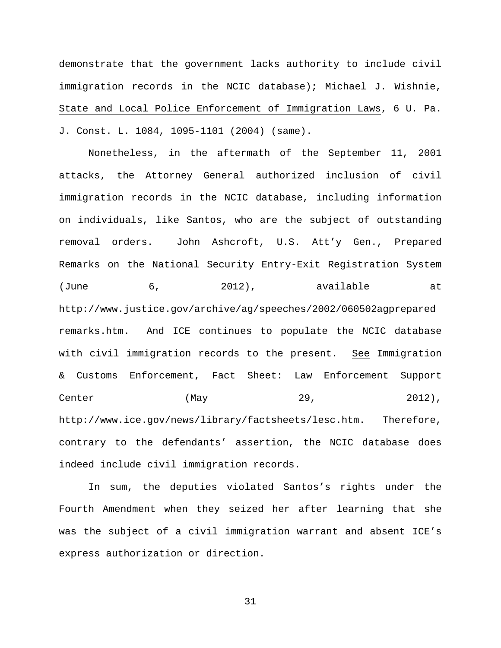demonstrate that the government lacks authority to include civil immigration records in the NCIC database); Michael J. Wishnie, State and Local Police Enforcement of Immigration Laws, 6 U. Pa. J. Const. L. 1084, 1095-1101 (2004) (same).

Nonetheless, in the aftermath of the September 11, 2001 attacks, the Attorney General authorized inclusion of civil immigration records in the NCIC database, including information on individuals, like Santos, who are the subject of outstanding removal orders. John Ashcroft, U.S. Att'y Gen., Prepared Remarks on the National Security Entry-Exit Registration System (June 6, 2012), available at http://www.justice.gov/archive/ag/speeches/2002/060502agprepared remarks.htm. And ICE continues to populate the NCIC database with civil immigration records to the present. See Immigration & Customs Enforcement, Fact Sheet: Law Enforcement Support Center  $(May$  29, 2012), http://www.ice.gov/news/library/factsheets/lesc.htm. Therefore, contrary to the defendants' assertion, the NCIC database does indeed include civil immigration records.

In sum, the deputies violated Santos's rights under the Fourth Amendment when they seized her after learning that she was the subject of a civil immigration warrant and absent ICE's express authorization or direction.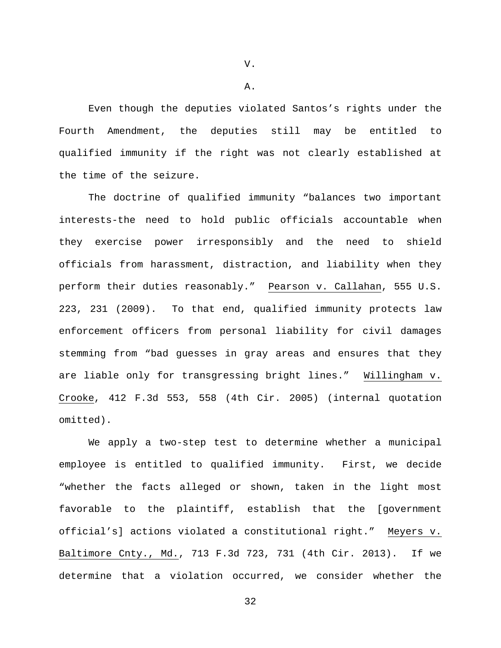V.

A.

Even though the deputies violated Santos's rights under the Fourth Amendment, the deputies still may be entitled to qualified immunity if the right was not clearly established at the time of the seizure.

The doctrine of qualified immunity "balances two important interests-the need to hold public officials accountable when they exercise power irresponsibly and the need to shield officials from harassment, distraction, and liability when they perform their duties reasonably." Pearson v. Callahan, 555 U.S. 223, 231 (2009). To that end, qualified immunity protects law enforcement officers from personal liability for civil damages stemming from "bad guesses in gray areas and ensures that they are liable only for transgressing bright lines." Willingham v. Crooke, 412 F.3d 553, 558 (4th Cir. 2005) (internal quotation omitted).

We apply a two-step test to determine whether a municipal employee is entitled to qualified immunity. First, we decide "whether the facts alleged or shown, taken in the light most favorable to the plaintiff, establish that the [government official's] actions violated a constitutional right." Meyers v. Baltimore Cnty., Md., 713 F.3d 723, 731 (4th Cir. 2013). If we determine that a violation occurred, we consider whether the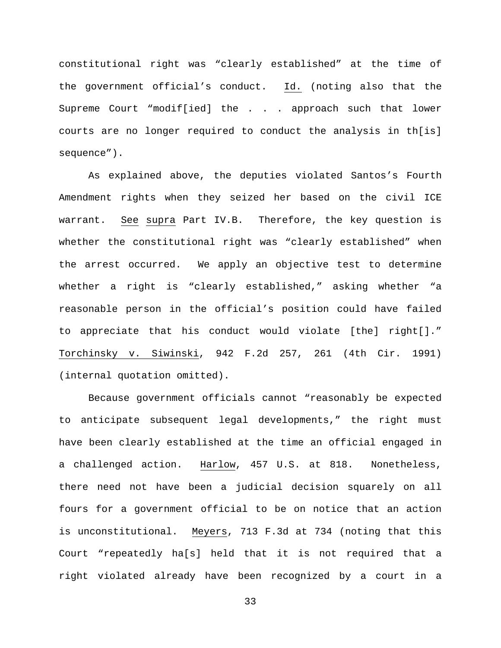constitutional right was "clearly established" at the time of the government official's conduct. Id. (noting also that the Supreme Court "modif[ied] the . . . approach such that lower courts are no longer required to conduct the analysis in th[is] sequence").

As explained above, the deputies violated Santos's Fourth Amendment rights when they seized her based on the civil ICE warrant. See supra Part IV.B. Therefore, the key question is whether the constitutional right was "clearly established" when the arrest occurred. We apply an objective test to determine whether a right is "clearly established," asking whether "a reasonable person in the official's position could have failed to appreciate that his conduct would violate [the] right[]." Torchinsky v. Siwinski, 942 F.2d 257, 261 (4th Cir. 1991) (internal quotation omitted).

Because government officials cannot "reasonably be expected to anticipate subsequent legal developments," the right must have been clearly established at the time an official engaged in a challenged action. Harlow, 457 U.S. at 818. Nonetheless, there need not have been a judicial decision squarely on all fours for a government official to be on notice that an action is unconstitutional. Meyers, 713 F.3d at 734 (noting that this Court "repeatedly ha[s] held that it is not required that a right violated already have been recognized by a court in a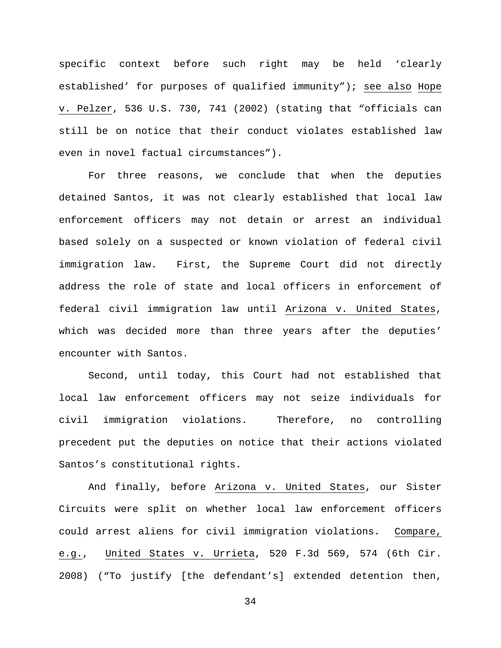specific context before such right may be held 'clearly established' for purposes of qualified immunity"); see also Hope v. Pelzer, 536 U.S. 730, 741 (2002) (stating that "officials can still be on notice that their conduct violates established law even in novel factual circumstances").

For three reasons, we conclude that when the deputies detained Santos, it was not clearly established that local law enforcement officers may not detain or arrest an individual based solely on a suspected or known violation of federal civil immigration law. First, the Supreme Court did not directly address the role of state and local officers in enforcement of federal civil immigration law until Arizona v. United States, which was decided more than three years after the deputies' encounter with Santos.

Second, until today, this Court had not established that local law enforcement officers may not seize individuals for civil immigration violations. Therefore, no controlling precedent put the deputies on notice that their actions violated Santos's constitutional rights.

And finally, before Arizona v. United States, our Sister Circuits were split on whether local law enforcement officers could arrest aliens for civil immigration violations. Compare, e.g., United States v. Urrieta, 520 F.3d 569, 574 (6th Cir. 2008) ("To justify [the defendant's] extended detention then,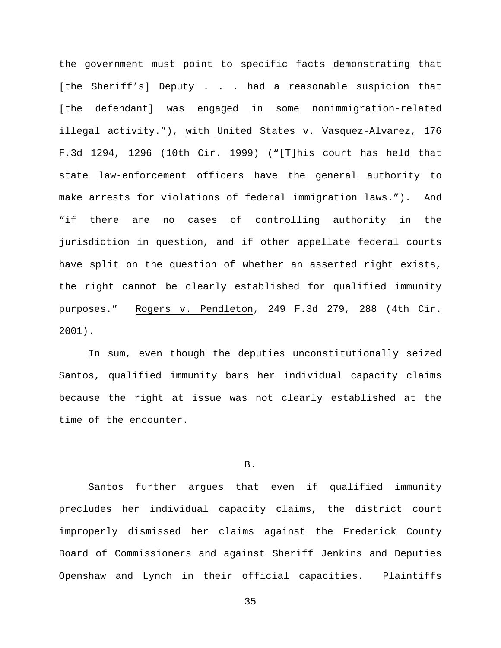the government must point to specific facts demonstrating that [the Sheriff's] Deputy . . . had a reasonable suspicion that [the defendant] was engaged in some nonimmigration-related illegal activity."), with United States v. Vasquez-Alvarez, 176 F.3d 1294, 1296 (10th Cir. 1999) ("[T]his court has held that state law-enforcement officers have the general authority to make arrests for violations of federal immigration laws."). And "if there are no cases of controlling authority in the jurisdiction in question, and if other appellate federal courts have split on the question of whether an asserted right exists, the right cannot be clearly established for qualified immunity purposes." Rogers v. Pendleton, 249 F.3d 279, 288 (4th Cir. 2001).

In sum, even though the deputies unconstitutionally seized Santos, qualified immunity bars her individual capacity claims because the right at issue was not clearly established at the time of the encounter.

# B.

Santos further argues that even if qualified immunity precludes her individual capacity claims, the district court improperly dismissed her claims against the Frederick County Board of Commissioners and against Sheriff Jenkins and Deputies Openshaw and Lynch in their official capacities. Plaintiffs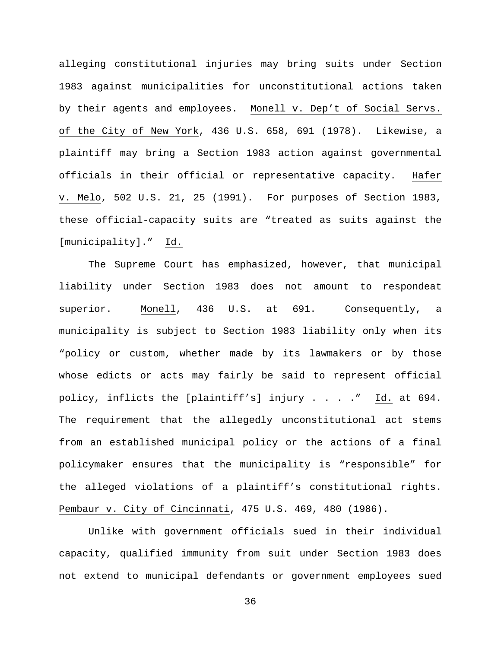alleging constitutional injuries may bring suits under Section 1983 against municipalities for unconstitutional actions taken by their agents and employees. Monell v. Dep't of Social Servs. of the City of New York, 436 U.S. 658, 691 (1978). Likewise, a plaintiff may bring a Section 1983 action against governmental officials in their official or representative capacity. Hafer v. Melo, 502 U.S. 21, 25 (1991). For purposes of Section 1983, these official-capacity suits are "treated as suits against the [municipality]." Id.

The Supreme Court has emphasized, however, that municipal liability under Section 1983 does not amount to respondeat superior. Monell, 436 U.S. at 691. Consequently, a municipality is subject to Section 1983 liability only when its "policy or custom, whether made by its lawmakers or by those whose edicts or acts may fairly be said to represent official policy, inflicts the [plaintiff's] injury . . . ." Id. at 694. The requirement that the allegedly unconstitutional act stems from an established municipal policy or the actions of a final policymaker ensures that the municipality is "responsible" for the alleged violations of a plaintiff's constitutional rights. Pembaur v. City of Cincinnati, 475 U.S. 469, 480 (1986).

Unlike with government officials sued in their individual capacity, qualified immunity from suit under Section 1983 does not extend to municipal defendants or government employees sued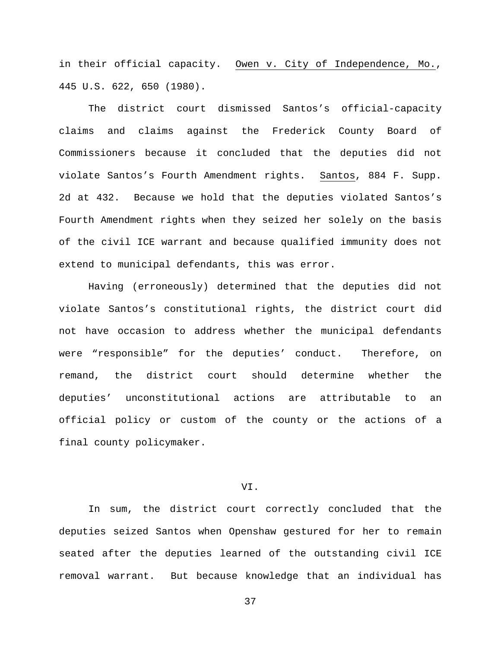in their official capacity. Owen v. City of Independence, Mo., 445 U.S. 622, 650 (1980).

The district court dismissed Santos's official-capacity claims and claims against the Frederick County Board of Commissioners because it concluded that the deputies did not violate Santos's Fourth Amendment rights. Santos, 884 F. Supp. 2d at 432. Because we hold that the deputies violated Santos's Fourth Amendment rights when they seized her solely on the basis of the civil ICE warrant and because qualified immunity does not extend to municipal defendants, this was error.

Having (erroneously) determined that the deputies did not violate Santos's constitutional rights, the district court did not have occasion to address whether the municipal defendants were "responsible" for the deputies' conduct. Therefore, on remand, the district court should determine whether the deputies' unconstitutional actions are attributable to an official policy or custom of the county or the actions of a final county policymaker.

# VI.

In sum, the district court correctly concluded that the deputies seized Santos when Openshaw gestured for her to remain seated after the deputies learned of the outstanding civil ICE removal warrant. But because knowledge that an individual has